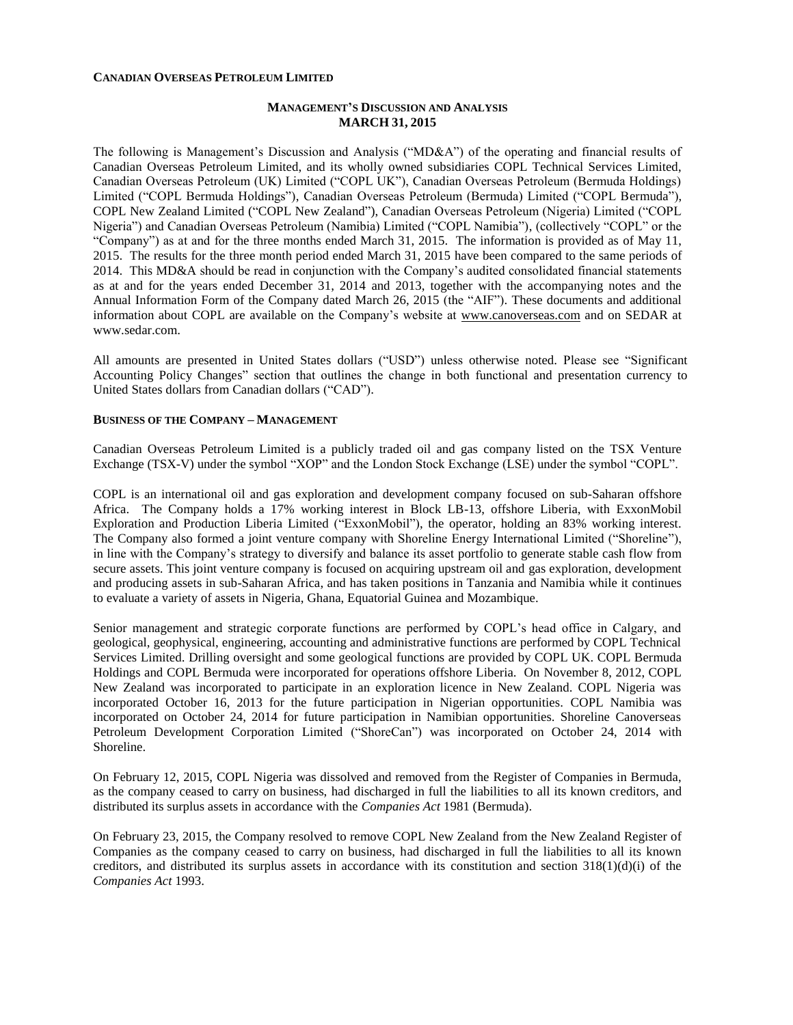#### **CANADIAN OVERSEAS PETROLEUM LIMITED**

# **MANAGEMENT'S DISCUSSION AND ANALYSIS MARCH 31, 2015**

The following is Management's Discussion and Analysis ("MD&A") of the operating and financial results of Canadian Overseas Petroleum Limited, and its wholly owned subsidiaries COPL Technical Services Limited, Canadian Overseas Petroleum (UK) Limited ("COPL UK"), Canadian Overseas Petroleum (Bermuda Holdings) Limited ("COPL Bermuda Holdings"), Canadian Overseas Petroleum (Bermuda) Limited ("COPL Bermuda"), COPL New Zealand Limited ("COPL New Zealand"), Canadian Overseas Petroleum (Nigeria) Limited ("COPL Nigeria") and Canadian Overseas Petroleum (Namibia) Limited ("COPL Namibia"), (collectively "COPL" or the "Company") as at and for the three months ended March 31, 2015. The information is provided as of May 11, 2015. The results for the three month period ended March 31, 2015 have been compared to the same periods of 2014. This MD&A should be read in conjunction with the Company's audited consolidated financial statements as at and for the years ended December 31, 2014 and 2013, together with the accompanying notes and the Annual Information Form of the Company dated March 26, 2015 (the "AIF"). These documents and additional information about COPL are available on the Company's website at [www.canoverseas.com](http://www.canoverseas.com/) and on SEDAR at [www.sedar.com.](http://www.sedar.com/)

All amounts are presented in United States dollars ("USD") unless otherwise noted. Please see "Significant Accounting Policy Changes" section that outlines the change in both functional and presentation currency to United States dollars from Canadian dollars ("CAD").

### **BUSINESS OF THE COMPANY – MANAGEMENT**

Canadian Overseas Petroleum Limited is a publicly traded oil and gas company listed on the TSX Venture Exchange (TSX-V) under the symbol "XOP" and the London Stock Exchange (LSE) under the symbol "COPL".

COPL is an international oil and gas exploration and development company focused on sub-Saharan offshore Africa. The Company holds a 17% working interest in Block LB-13, offshore Liberia, with ExxonMobil Exploration and Production Liberia Limited ("ExxonMobil"), the operator, holding an 83% working interest. The Company also formed a joint venture company with Shoreline Energy International Limited ("Shoreline"), in line with the Company's strategy to diversify and balance its asset portfolio to generate stable cash flow from secure assets. This joint venture company is focused on acquiring upstream oil and gas exploration, development and producing assets in sub-Saharan Africa, and has taken positions in Tanzania and Namibia while it continues to evaluate a variety of assets in Nigeria, Ghana, Equatorial Guinea and Mozambique.

Senior management and strategic corporate functions are performed by COPL's head office in Calgary, and geological, geophysical, engineering, accounting and administrative functions are performed by COPL Technical Services Limited. Drilling oversight and some geological functions are provided by COPL UK. COPL Bermuda Holdings and COPL Bermuda were incorporated for operations offshore Liberia. On November 8, 2012, COPL New Zealand was incorporated to participate in an exploration licence in New Zealand. COPL Nigeria was incorporated October 16, 2013 for the future participation in Nigerian opportunities. COPL Namibia was incorporated on October 24, 2014 for future participation in Namibian opportunities. Shoreline Canoverseas Petroleum Development Corporation Limited ("ShoreCan") was incorporated on October 24, 2014 with Shoreline.

On February 12, 2015, COPL Nigeria was dissolved and removed from the Register of Companies in Bermuda, as the company ceased to carry on business, had discharged in full the liabilities to all its known creditors, and distributed its surplus assets in accordance with the *Companies Act* 1981 (Bermuda).

On February 23, 2015, the Company resolved to remove COPL New Zealand from the New Zealand Register of Companies as the company ceased to carry on business, had discharged in full the liabilities to all its known creditors, and distributed its surplus assets in accordance with its constitution and section  $318(1)(d)(i)$  of the *Companies Act* 1993.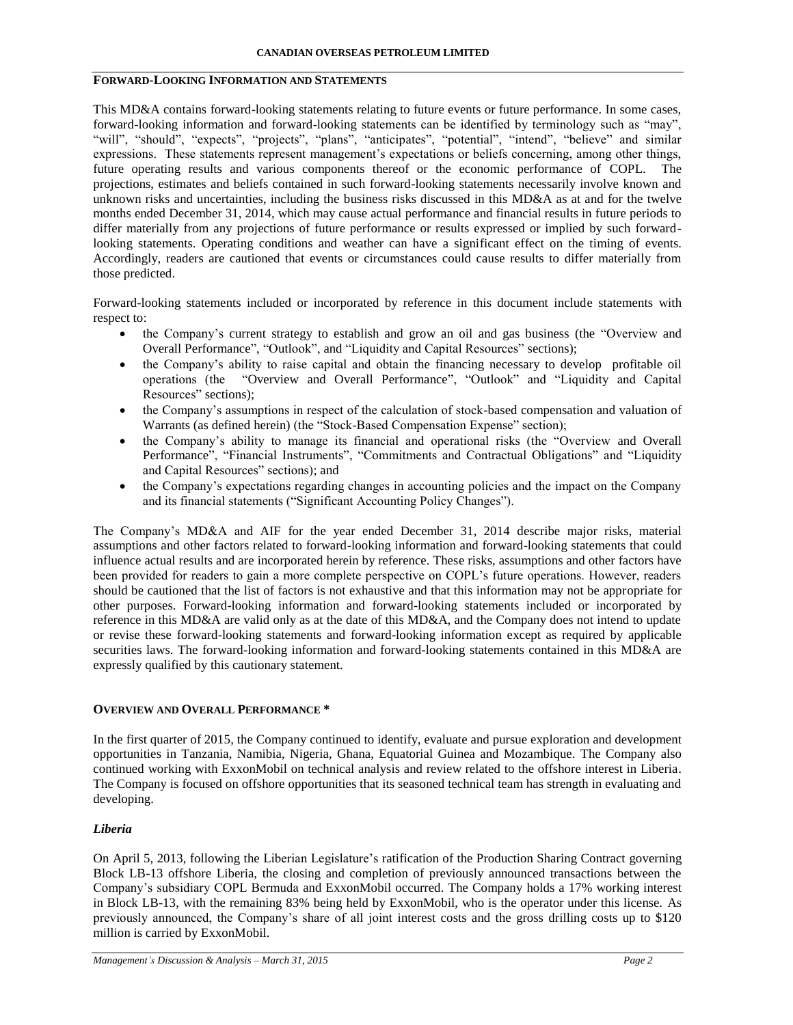# **FORWARD-LOOKING INFORMATION AND STATEMENTS**

This MD&A contains forward-looking statements relating to future events or future performance. In some cases, forward-looking information and forward-looking statements can be identified by terminology such as "may", "will", "should", "expects", "projects", "plans", "anticipates", "potential", "intend", "believe" and similar expressions. These statements represent management's expectations or beliefs concerning, among other things, future operating results and various components thereof or the economic performance of COPL. The projections, estimates and beliefs contained in such forward-looking statements necessarily involve known and unknown risks and uncertainties, including the business risks discussed in this MD&A as at and for the twelve months ended December 31, 2014, which may cause actual performance and financial results in future periods to differ materially from any projections of future performance or results expressed or implied by such forwardlooking statements. Operating conditions and weather can have a significant effect on the timing of events. Accordingly, readers are cautioned that events or circumstances could cause results to differ materially from those predicted.

Forward-looking statements included or incorporated by reference in this document include statements with respect to:

- the Company's current strategy to establish and grow an oil and gas business (the "Overview and Overall Performance", "Outlook", and "Liquidity and Capital Resources" sections);
- the Company's ability to raise capital and obtain the financing necessary to develop profitable oil operations (the "Overview and Overall Performance", "Outlook" and "Liquidity and Capital Resources" sections);
- the Company's assumptions in respect of the calculation of stock-based compensation and valuation of Warrants (as defined herein) (the "Stock-Based Compensation Expense" section);
- the Company's ability to manage its financial and operational risks (the "Overview and Overall Performance", "Financial Instruments", "Commitments and Contractual Obligations" and "Liquidity and Capital Resources" sections); and
- the Company's expectations regarding changes in accounting policies and the impact on the Company and its financial statements ("Significant Accounting Policy Changes").

The Company's MD&A and AIF for the year ended December 31, 2014 describe major risks, material assumptions and other factors related to forward-looking information and forward-looking statements that could influence actual results and are incorporated herein by reference. These risks, assumptions and other factors have been provided for readers to gain a more complete perspective on COPL's future operations. However, readers should be cautioned that the list of factors is not exhaustive and that this information may not be appropriate for other purposes. Forward-looking information and forward-looking statements included or incorporated by reference in this MD&A are valid only as at the date of this MD&A, and the Company does not intend to update or revise these forward-looking statements and forward-looking information except as required by applicable securities laws. The forward-looking information and forward-looking statements contained in this MD&A are expressly qualified by this cautionary statement.

### **OVERVIEW AND OVERALL PERFORMANCE \***

In the first quarter of 2015, the Company continued to identify, evaluate and pursue exploration and development opportunities in Tanzania, Namibia, Nigeria, Ghana, Equatorial Guinea and Mozambique. The Company also continued working with ExxonMobil on technical analysis and review related to the offshore interest in Liberia. The Company is focused on offshore opportunities that its seasoned technical team has strength in evaluating and developing.

### *Liberia*

On April 5, 2013, following the Liberian Legislature's ratification of the Production Sharing Contract governing Block LB-13 offshore Liberia, the closing and completion of previously announced transactions between the Company's subsidiary COPL Bermuda and ExxonMobil occurred. The Company holds a 17% working interest in Block LB-13, with the remaining 83% being held by ExxonMobil, who is the operator under this license. As previously announced, the Company's share of all joint interest costs and the gross drilling costs up to \$120 million is carried by ExxonMobil.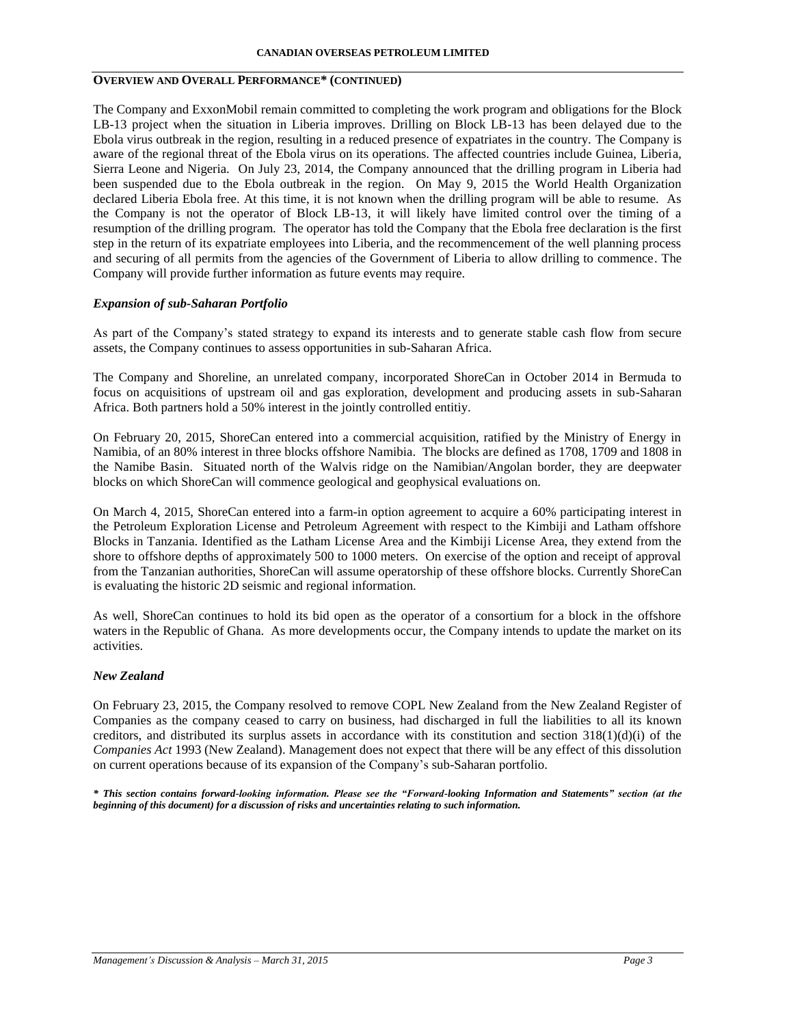# **OVERVIEW AND OVERALL PERFORMANCE\* (CONTINUED)**

The Company and ExxonMobil remain committed to completing the work program and obligations for the Block LB-13 project when the situation in Liberia improves. Drilling on Block LB-13 has been delayed due to the Ebola virus outbreak in the region, resulting in a reduced presence of expatriates in the country. The Company is aware of the regional threat of the Ebola virus on its operations. The affected countries include Guinea, Liberia, Sierra Leone and Nigeria. On July 23, 2014, the Company announced that the drilling program in Liberia had been suspended due to the Ebola outbreak in the region. On May 9, 2015 the World Health Organization declared Liberia Ebola free. At this time, it is not known when the drilling program will be able to resume. As the Company is not the operator of Block LB-13, it will likely have limited control over the timing of a resumption of the drilling program. The operator has told the Company that the Ebola free declaration is the first step in the return of its expatriate employees into Liberia, and the recommencement of the well planning process and securing of all permits from the agencies of the Government of Liberia to allow drilling to commence. The Company will provide further information as future events may require.

### *Expansion of sub-Saharan Portfolio*

As part of the Company's stated strategy to expand its interests and to generate stable cash flow from secure assets, the Company continues to assess opportunities in sub-Saharan Africa.

The Company and Shoreline, an unrelated company, incorporated ShoreCan in October 2014 in Bermuda to focus on acquisitions of upstream oil and gas exploration, development and producing assets in sub-Saharan Africa. Both partners hold a 50% interest in the jointly controlled entitiy.

On February 20, 2015, ShoreCan entered into a commercial acquisition, ratified by the Ministry of Energy in Namibia, of an 80% interest in three blocks offshore Namibia. The blocks are defined as 1708, 1709 and 1808 in the Namibe Basin. Situated north of the Walvis ridge on the Namibian/Angolan border, they are deepwater blocks on which ShoreCan will commence geological and geophysical evaluations on.

On March 4, 2015, ShoreCan entered into a farm-in option agreement to acquire a 60% participating interest in the Petroleum Exploration License and Petroleum Agreement with respect to the Kimbiji and Latham offshore Blocks in Tanzania. Identified as the Latham License Area and the Kimbiji License Area, they extend from the shore to offshore depths of approximately 500 to 1000 meters. On exercise of the option and receipt of approval from the Tanzanian authorities, ShoreCan will assume operatorship of these offshore blocks. Currently ShoreCan is evaluating the historic 2D seismic and regional information.

As well, ShoreCan continues to hold its bid open as the operator of a consortium for a block in the offshore waters in the Republic of Ghana. As more developments occur, the Company intends to update the market on its activities.

### *New Zealand*

On February 23, 2015, the Company resolved to remove COPL New Zealand from the New Zealand Register of Companies as the company ceased to carry on business, had discharged in full the liabilities to all its known creditors, and distributed its surplus assets in accordance with its constitution and section  $318(1)(d)(i)$  of the *Companies Act* 1993 (New Zealand). Management does not expect that there will be any effect of this dissolution on current operations because of its expansion of the Company's sub-Saharan portfolio.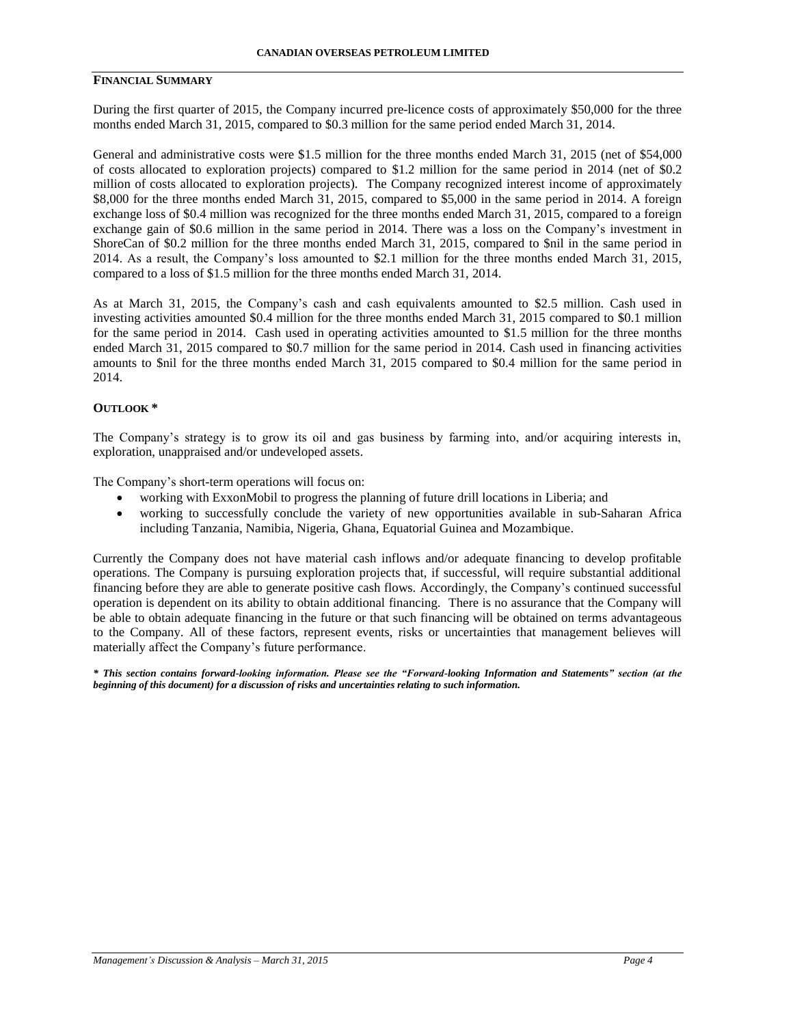# **FINANCIAL SUMMARY**

During the first quarter of 2015, the Company incurred pre-licence costs of approximately \$50,000 for the three months ended March 31, 2015, compared to \$0.3 million for the same period ended March 31, 2014.

General and administrative costs were \$1.5 million for the three months ended March 31, 2015 (net of \$54,000 of costs allocated to exploration projects) compared to \$1.2 million for the same period in 2014 (net of \$0.2 million of costs allocated to exploration projects). The Company recognized interest income of approximately \$8,000 for the three months ended March 31, 2015, compared to \$5,000 in the same period in 2014. A foreign exchange loss of \$0.4 million was recognized for the three months ended March 31, 2015, compared to a foreign exchange gain of \$0.6 million in the same period in 2014. There was a loss on the Company's investment in ShoreCan of \$0.2 million for the three months ended March 31, 2015, compared to \$nil in the same period in 2014. As a result, the Company's loss amounted to \$2.1 million for the three months ended March 31, 2015, compared to a loss of \$1.5 million for the three months ended March 31, 2014.

As at March 31, 2015, the Company's cash and cash equivalents amounted to \$2.5 million. Cash used in investing activities amounted \$0.4 million for the three months ended March 31, 2015 compared to \$0.1 million for the same period in 2014. Cash used in operating activities amounted to \$1.5 million for the three months ended March 31, 2015 compared to \$0.7 million for the same period in 2014. Cash used in financing activities amounts to \$nil for the three months ended March 31, 2015 compared to \$0.4 million for the same period in 2014.

#### **OUTLOOK \***

The Company's strategy is to grow its oil and gas business by farming into, and/or acquiring interests in, exploration, unappraised and/or undeveloped assets.

The Company's short-term operations will focus on:

- working with ExxonMobil to progress the planning of future drill locations in Liberia; and
- working to successfully conclude the variety of new opportunities available in sub-Saharan Africa including Tanzania, Namibia, Nigeria, Ghana, Equatorial Guinea and Mozambique.

Currently the Company does not have material cash inflows and/or adequate financing to develop profitable operations. The Company is pursuing exploration projects that, if successful, will require substantial additional financing before they are able to generate positive cash flows. Accordingly, the Company's continued successful operation is dependent on its ability to obtain additional financing. There is no assurance that the Company will be able to obtain adequate financing in the future or that such financing will be obtained on terms advantageous to the Company. All of these factors, represent events, risks or uncertainties that management believes will materially affect the Company's future performance.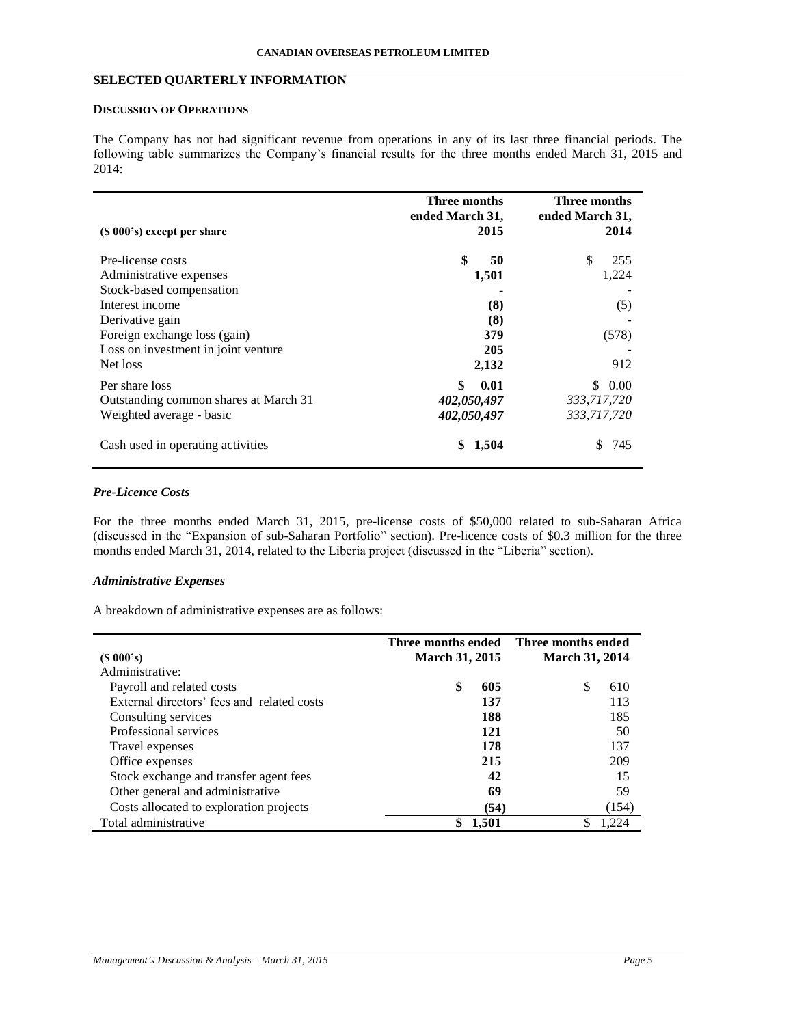# **SELECTED QUARTERLY INFORMATION**

### **DISCUSSION OF OPERATIONS**

The Company has not had significant revenue from operations in any of its last three financial periods. The following table summarizes the Company's financial results for the three months ended March 31, 2015 and 2014:

| $(S 000's)$ except per share                                                                                                                                                                      | <b>Three months</b><br>ended March 31,<br>2015          | <b>Three months</b><br>ended March 31,<br>2014   |
|---------------------------------------------------------------------------------------------------------------------------------------------------------------------------------------------------|---------------------------------------------------------|--------------------------------------------------|
| Pre-license costs<br>Administrative expenses<br>Stock-based compensation<br>Interest income<br>Derivative gain<br>Foreign exchange loss (gain)<br>Loss on investment in joint venture<br>Net loss | \$<br>50<br>1,501<br>(8)<br>(8)<br>379<br>205<br>2,132  | \$<br>255<br>1,224<br>(5)<br>(578)<br>912        |
| Per share loss<br>Outstanding common shares at March 31<br>Weighted average - basic<br>Cash used in operating activities                                                                          | \$<br>0.01<br>402,050,497<br>402,050,497<br>1,504<br>\$ | 0.00<br>\$.<br>333,717,720<br>333,717,720<br>745 |

# *Pre-Licence Costs*

l,

For the three months ended March 31, 2015, pre-license costs of \$50,000 related to sub-Saharan Africa (discussed in the "Expansion of sub-Saharan Portfolio" section). Pre-licence costs of \$0.3 million for the three months ended March 31, 2014, related to the Liberia project (discussed in the "Liberia" section).

### *Administrative Expenses*

A breakdown of administrative expenses are as follows:

|                                            | Three months ended    |       | Three months ended    |       |
|--------------------------------------------|-----------------------|-------|-----------------------|-------|
| $(S\ 000's)$                               | <b>March 31, 2015</b> |       | <b>March 31, 2014</b> |       |
| Administrative:                            |                       |       |                       |       |
| Payroll and related costs                  | \$                    | 605   | S                     | 610   |
| External directors' fees and related costs |                       | 137   |                       | 113   |
| Consulting services                        |                       | 188   |                       | 185   |
| Professional services                      |                       | 121   |                       | 50    |
| Travel expenses                            |                       | 178   |                       | 137   |
| Office expenses                            |                       | 215   |                       | 209   |
| Stock exchange and transfer agent fees     |                       | 42    |                       | 15    |
| Other general and administrative           |                       | 69    |                       | 59    |
| Costs allocated to exploration projects    |                       | (54)  |                       | (154) |
| Total administrative                       |                       | 1,501 |                       | .224  |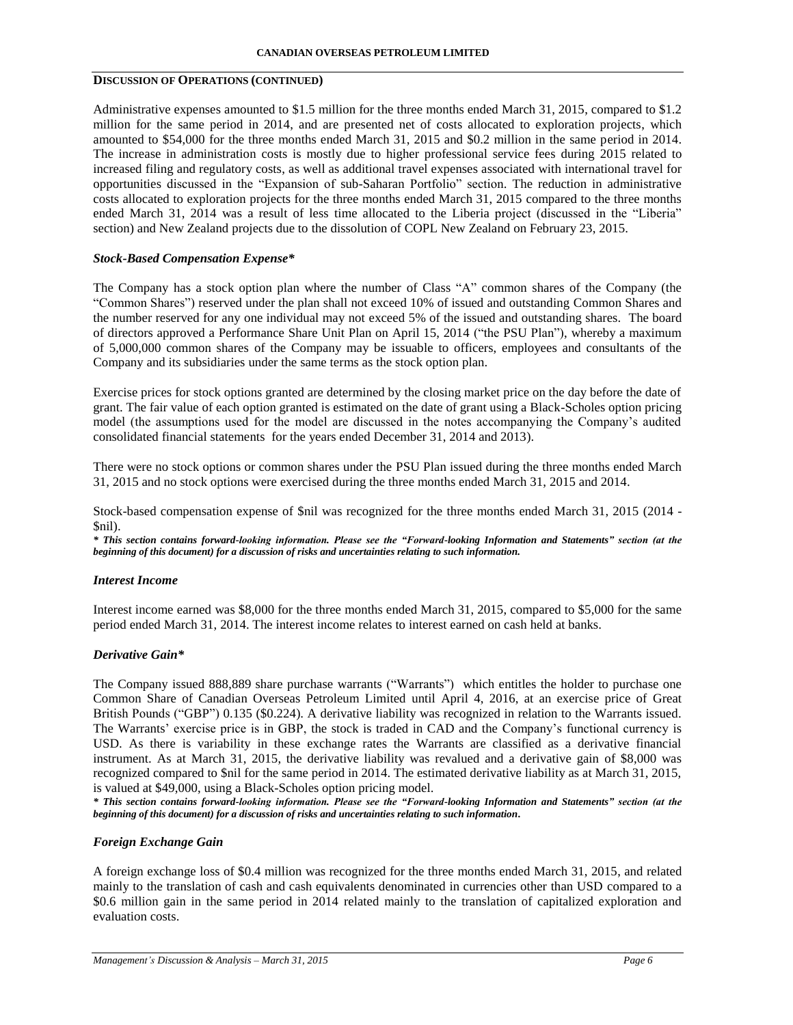# **DISCUSSION OF OPERATIONS (CONTINUED)**

Administrative expenses amounted to \$1.5 million for the three months ended March 31, 2015, compared to \$1.2 million for the same period in 2014, and are presented net of costs allocated to exploration projects, which amounted to \$54,000 for the three months ended March 31, 2015 and \$0.2 million in the same period in 2014. The increase in administration costs is mostly due to higher professional service fees during 2015 related to increased filing and regulatory costs, as well as additional travel expenses associated with international travel for opportunities discussed in the "Expansion of sub-Saharan Portfolio" section. The reduction in administrative costs allocated to exploration projects for the three months ended March 31, 2015 compared to the three months ended March 31, 2014 was a result of less time allocated to the Liberia project (discussed in the "Liberia" section) and New Zealand projects due to the dissolution of COPL New Zealand on February 23, 2015.

# *Stock-Based Compensation Expense\**

The Company has a stock option plan where the number of Class "A" common shares of the Company (the "Common Shares") reserved under the plan shall not exceed 10% of issued and outstanding Common Shares and the number reserved for any one individual may not exceed 5% of the issued and outstanding shares. The board of directors approved a Performance Share Unit Plan on April 15, 2014 ("the PSU Plan"), whereby a maximum of 5,000,000 common shares of the Company may be issuable to officers, employees and consultants of the Company and its subsidiaries under the same terms as the stock option plan.

Exercise prices for stock options granted are determined by the closing market price on the day before the date of grant. The fair value of each option granted is estimated on the date of grant using a Black-Scholes option pricing model (the assumptions used for the model are discussed in the notes accompanying the Company's audited consolidated financial statements for the years ended December 31, 2014 and 2013).

There were no stock options or common shares under the PSU Plan issued during the three months ended March 31, 2015 and no stock options were exercised during the three months ended March 31, 2015 and 2014.

Stock-based compensation expense of \$nil was recognized for the three months ended March 31, 2015 (2014 - \$nil).

*\* This section contains forward-looking information. Please see the "Forward-looking Information and Statements" section (at the beginning of this document) for a discussion of risks and uncertainties relating to such information.*

### *Interest Income*

Interest income earned was \$8,000 for the three months ended March 31, 2015, compared to \$5,000 for the same period ended March 31, 2014. The interest income relates to interest earned on cash held at banks.

# *Derivative Gain\**

The Company issued 888,889 share purchase warrants ("Warrants") which entitles the holder to purchase one Common Share of Canadian Overseas Petroleum Limited until April 4, 2016, at an exercise price of Great British Pounds ("GBP") 0.135 (\$0.224). A derivative liability was recognized in relation to the Warrants issued. The Warrants' exercise price is in GBP, the stock is traded in CAD and the Company's functional currency is USD. As there is variability in these exchange rates the Warrants are classified as a derivative financial instrument. As at March 31, 2015, the derivative liability was revalued and a derivative gain of \$8,000 was recognized compared to \$nil for the same period in 2014. The estimated derivative liability as at March 31, 2015, is valued at \$49,000, using a Black-Scholes option pricing model.

*\* This section contains forward-looking information. Please see the "Forward-looking Information and Statements" section (at the beginning of this document) for a discussion of risks and uncertainties relating to such information.*

### *Foreign Exchange Gain*

A foreign exchange loss of \$0.4 million was recognized for the three months ended March 31, 2015, and related mainly to the translation of cash and cash equivalents denominated in currencies other than USD compared to a \$0.6 million gain in the same period in 2014 related mainly to the translation of capitalized exploration and evaluation costs.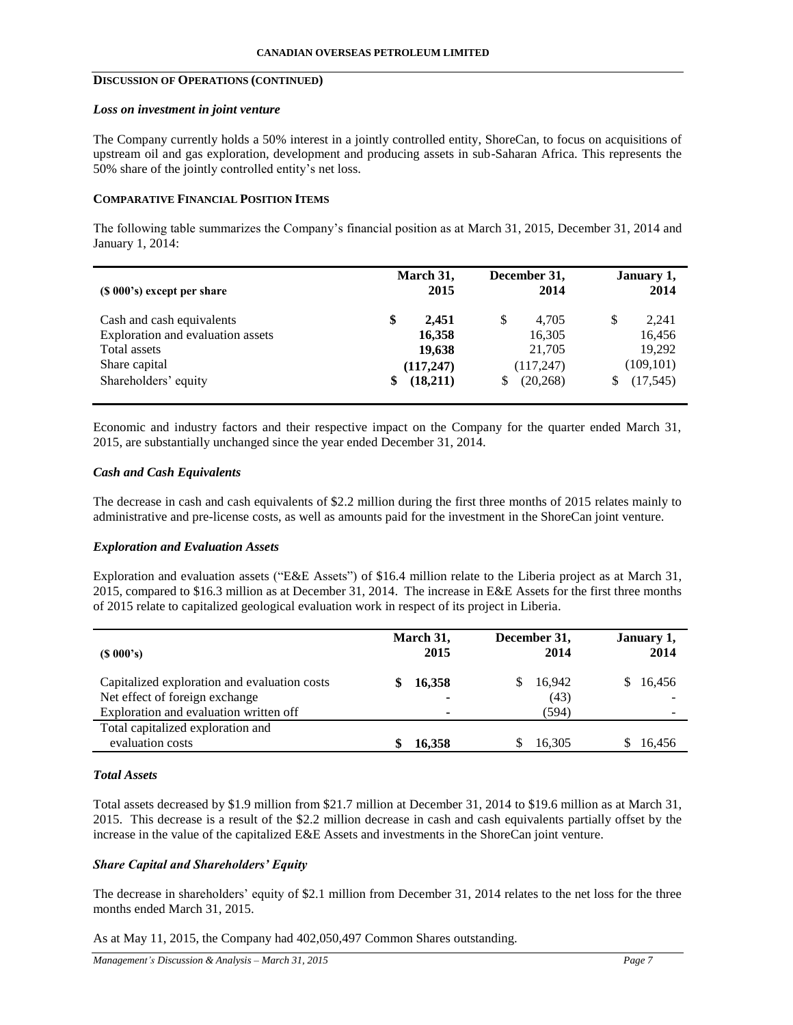# **DISCUSSION OF OPERATIONS (CONTINUED)**

#### *Loss on investment in joint venture*

The Company currently holds a 50% interest in a jointly controlled entity, ShoreCan, to focus on acquisitions of upstream oil and gas exploration, development and producing assets in sub-Saharan Africa. This represents the 50% share of the jointly controlled entity's net loss.

## **COMPARATIVE FINANCIAL POSITION ITEMS**

The following table summarizes the Company's financial position as at March 31, 2015, December 31, 2014 and January 1, 2014:

| (\$ 000's) except per share                                                                                             | March 31,                                                       | December 31,                                                   | January 1,                                                      |
|-------------------------------------------------------------------------------------------------------------------------|-----------------------------------------------------------------|----------------------------------------------------------------|-----------------------------------------------------------------|
|                                                                                                                         | 2015                                                            | 2014                                                           | 2014                                                            |
| Cash and cash equivalents<br>Exploration and evaluation assets<br>Total assets<br>Share capital<br>Shareholders' equity | \$<br>2.451<br>16,358<br>19,638<br>(117, 247)<br>(18,211)<br>\$ | S<br>4.705<br>16,305<br>21,705<br>(117, 247)<br>(20, 268)<br>S | \$<br>2,241<br>16,456<br>19,292<br>(109, 101)<br>(17, 545)<br>S |

Economic and industry factors and their respective impact on the Company for the quarter ended March 31, 2015, are substantially unchanged since the year ended December 31, 2014.

# *Cash and Cash Equivalents*

The decrease in cash and cash equivalents of \$2.2 million during the first three months of 2015 relates mainly to administrative and pre-license costs, as well as amounts paid for the investment in the ShoreCan joint venture.

# *Exploration and Evaluation Assets*

Exploration and evaluation assets ("E&E Assets") of \$16.4 million relate to the Liberia project as at March 31, 2015, compared to \$16.3 million as at December 31, 2014. The increase in E&E Assets for the first three months of 2015 relate to capitalized geological evaluation work in respect of its project in Liberia.

| $(S\ 000's)$                                                                                                             | March 31,<br>2015 | December 31,<br>2014    | January 1,<br>2014 |
|--------------------------------------------------------------------------------------------------------------------------|-------------------|-------------------------|--------------------|
| Capitalized exploration and evaluation costs<br>Net effect of foreign exchange<br>Exploration and evaluation written off | 16,358<br>۰<br>۰  | 16.942<br>(43)<br>(594) | 16.456             |
| Total capitalized exploration and<br>evaluation costs                                                                    | 16.358            | 16.305                  | 16.456             |

### *Total Assets*

Total assets decreased by \$1.9 million from \$21.7 million at December 31, 2014 to \$19.6 million as at March 31, 2015. This decrease is a result of the \$2.2 million decrease in cash and cash equivalents partially offset by the increase in the value of the capitalized E&E Assets and investments in the ShoreCan joint venture.

### *Share Capital and Shareholders' Equity*

The decrease in shareholders' equity of \$2.1 million from December 31, 2014 relates to the net loss for the three months ended March 31, 2015.

As at May 11, 2015, the Company had 402,050,497 Common Shares outstanding.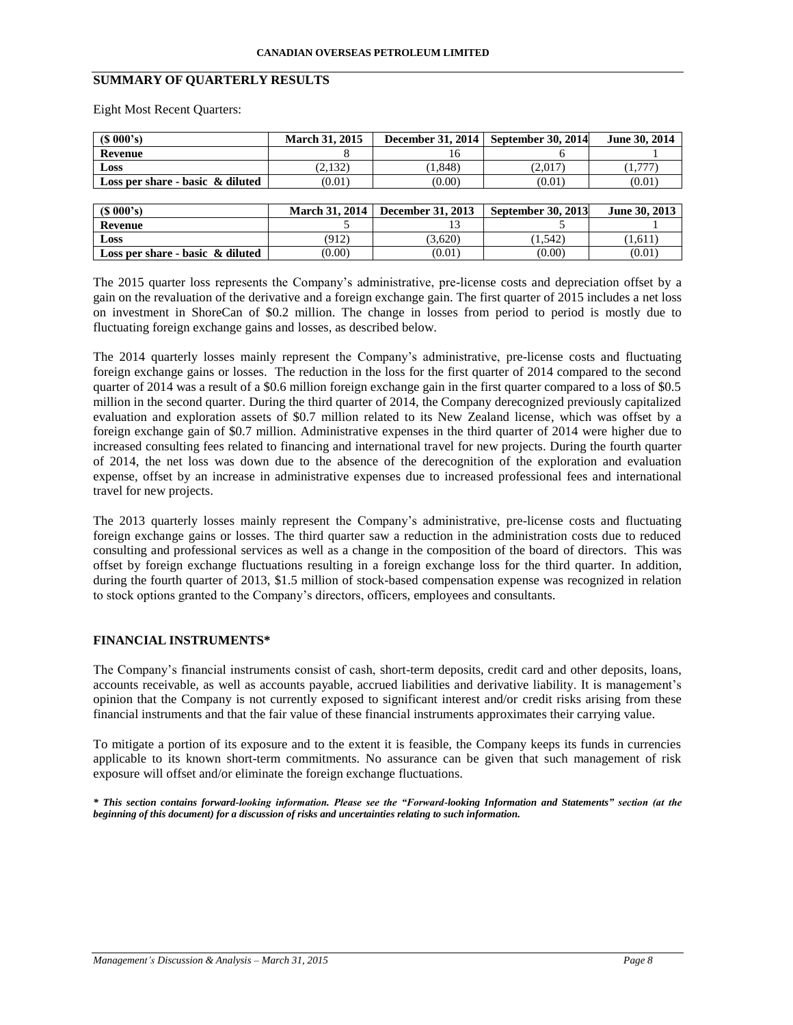# **SUMMARY OF QUARTERLY RESULTS**

Eight Most Recent Quarters:

| $(S\ 000's)$                        | <b>March 31, 2015</b> | December 31, 2014 | September 30, 2014 | June 30, 2014 |
|-------------------------------------|-----------------------|-------------------|--------------------|---------------|
| Revenue                             |                       | 16                |                    |               |
| Loss                                | (2,132)               | (1, 848)          | (2,017)            | (1,777)       |
| Loss per share - basic $\&$ diluted | (0.01)                | (0.00)            | (0.01)             | (0.01)        |
|                                     |                       |                   |                    |               |
| $(S\ 000's)$                        | <b>March 31, 2014</b> | December 31, 2013 | September 30, 2013 | June 30, 2013 |
| Revenue                             |                       | 13                |                    |               |
| Loss                                | (912)                 | (3,620)           | (1, 542)           | (1,611)       |
| Loss per share - basic $\&$ diluted | (0.00)                | (0.01)            | (0.00)             | (0.01)        |

The 2015 quarter loss represents the Company's administrative, pre-license costs and depreciation offset by a gain on the revaluation of the derivative and a foreign exchange gain. The first quarter of 2015 includes a net loss on investment in ShoreCan of \$0.2 million. The change in losses from period to period is mostly due to fluctuating foreign exchange gains and losses, as described below.

The 2014 quarterly losses mainly represent the Company's administrative, pre-license costs and fluctuating foreign exchange gains or losses. The reduction in the loss for the first quarter of 2014 compared to the second quarter of 2014 was a result of a \$0.6 million foreign exchange gain in the first quarter compared to a loss of \$0.5 million in the second quarter. During the third quarter of 2014, the Company derecognized previously capitalized evaluation and exploration assets of \$0.7 million related to its New Zealand license, which was offset by a foreign exchange gain of \$0.7 million. Administrative expenses in the third quarter of 2014 were higher due to increased consulting fees related to financing and international travel for new projects. During the fourth quarter of 2014, the net loss was down due to the absence of the derecognition of the exploration and evaluation expense, offset by an increase in administrative expenses due to increased professional fees and international travel for new projects.

The 2013 quarterly losses mainly represent the Company's administrative, pre-license costs and fluctuating foreign exchange gains or losses. The third quarter saw a reduction in the administration costs due to reduced consulting and professional services as well as a change in the composition of the board of directors. This was offset by foreign exchange fluctuations resulting in a foreign exchange loss for the third quarter. In addition, during the fourth quarter of 2013, \$1.5 million of stock-based compensation expense was recognized in relation to stock options granted to the Company's directors, officers, employees and consultants.

# **FINANCIAL INSTRUMENTS\***

The Company's financial instruments consist of cash, short-term deposits, credit card and other deposits, loans, accounts receivable, as well as accounts payable, accrued liabilities and derivative liability. It is management's opinion that the Company is not currently exposed to significant interest and/or credit risks arising from these financial instruments and that the fair value of these financial instruments approximates their carrying value.

To mitigate a portion of its exposure and to the extent it is feasible, the Company keeps its funds in currencies applicable to its known short-term commitments. No assurance can be given that such management of risk exposure will offset and/or eliminate the foreign exchange fluctuations.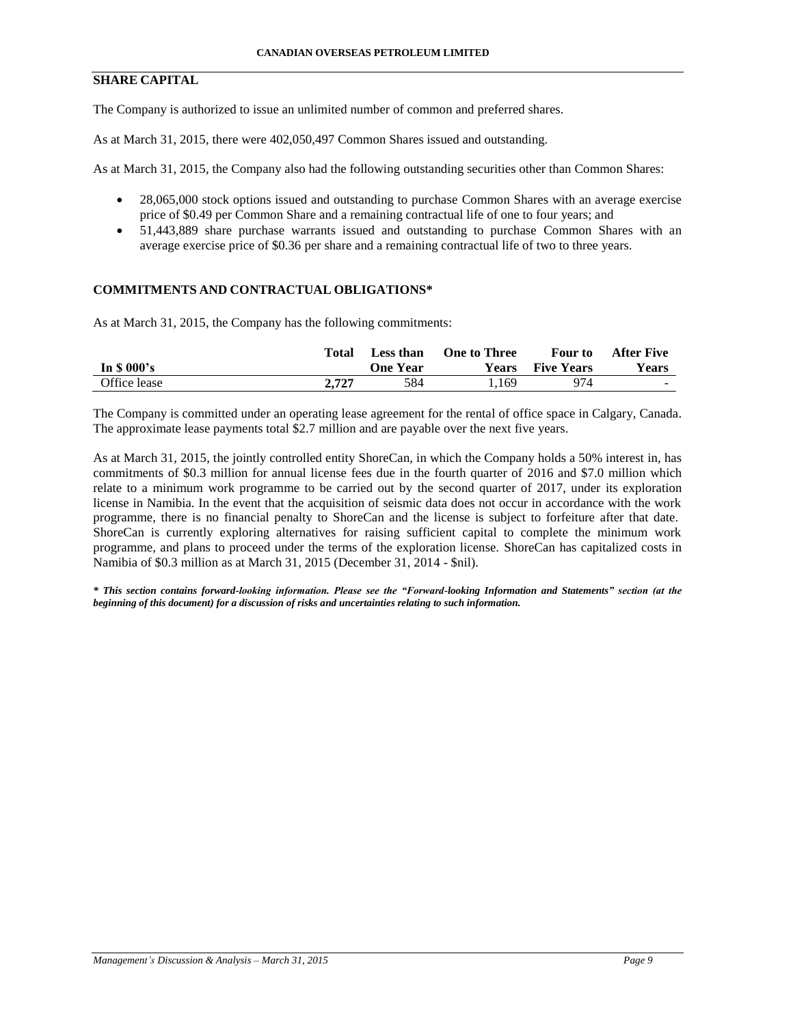# **SHARE CAPITAL**

The Company is authorized to issue an unlimited number of common and preferred shares.

As at March 31, 2015, there were 402,050,497 Common Shares issued and outstanding.

As at March 31, 2015, the Company also had the following outstanding securities other than Common Shares:

- 28,065,000 stock options issued and outstanding to purchase Common Shares with an average exercise price of \$0.49 per Common Share and a remaining contractual life of one to four years; and
- 51,443,889 share purchase warrants issued and outstanding to purchase Common Shares with an average exercise price of \$0.36 per share and a remaining contractual life of two to three years.

#### **COMMITMENTS AND CONTRACTUAL OBLIGATIONS\***

As at March 31, 2015, the Company has the following commitments:

|              | Total | Less than       | <b>One to Three</b> | Four to           | <b>After Five</b> |
|--------------|-------|-----------------|---------------------|-------------------|-------------------|
| In $$000's$  |       | <b>One Year</b> | Years               | <b>Five Years</b> | <b>Years</b>      |
| Office lease | 2.727 | 584             | 1.169               | 974               | <b>Sec. 3</b>     |

The Company is committed under an operating lease agreement for the rental of office space in Calgary, Canada. The approximate lease payments total \$2.7 million and are payable over the next five years.

As at March 31, 2015, the jointly controlled entity ShoreCan, in which the Company holds a 50% interest in, has commitments of \$0.3 million for annual license fees due in the fourth quarter of 2016 and \$7.0 million which relate to a minimum work programme to be carried out by the second quarter of 2017, under its exploration license in Namibia. In the event that the acquisition of seismic data does not occur in accordance with the work programme, there is no financial penalty to ShoreCan and the license is subject to forfeiture after that date. ShoreCan is currently exploring alternatives for raising sufficient capital to complete the minimum work programme, and plans to proceed under the terms of the exploration license. ShoreCan has capitalized costs in Namibia of \$0.3 million as at March 31, 2015 (December 31, 2014 - \$nil).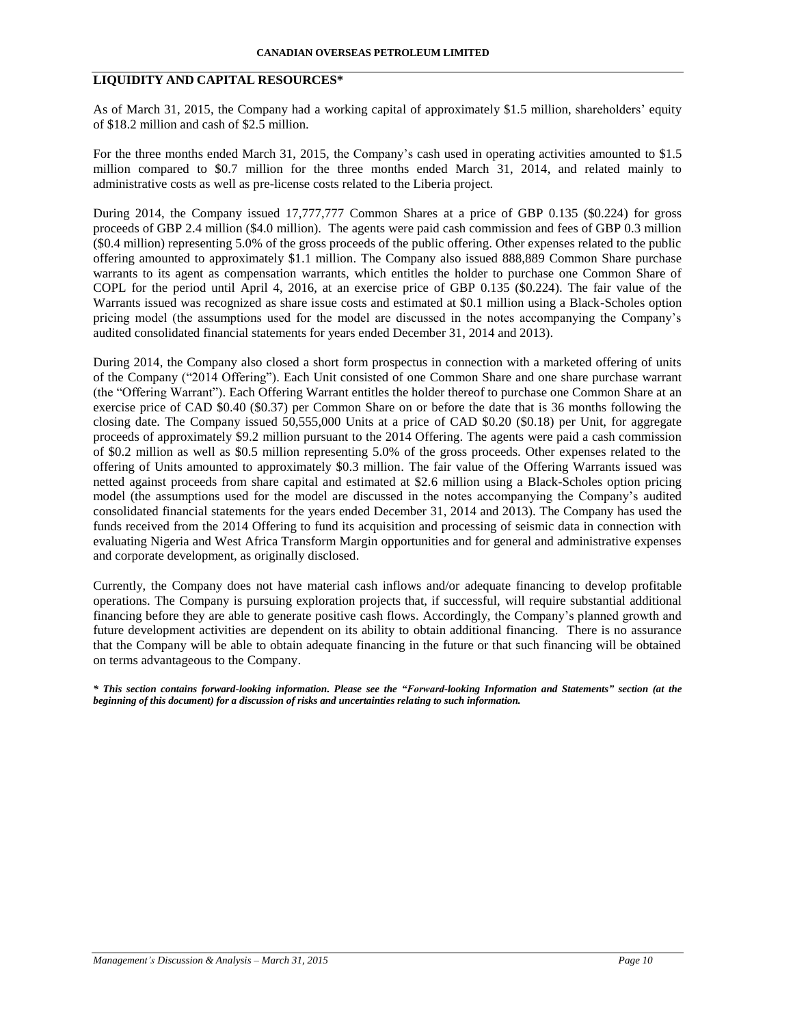# **LIQUIDITY AND CAPITAL RESOURCES\***

As of March 31, 2015, the Company had a working capital of approximately \$1.5 million, shareholders' equity of \$18.2 million and cash of \$2.5 million.

For the three months ended March 31, 2015, the Company's cash used in operating activities amounted to \$1.5 million compared to \$0.7 million for the three months ended March 31, 2014, and related mainly to administrative costs as well as pre-license costs related to the Liberia project.

During 2014, the Company issued 17,777,777 Common Shares at a price of GBP 0.135 (\$0.224) for gross proceeds of GBP 2.4 million (\$4.0 million). The agents were paid cash commission and fees of GBP 0.3 million (\$0.4 million) representing 5.0% of the gross proceeds of the public offering. Other expenses related to the public offering amounted to approximately \$1.1 million. The Company also issued 888,889 Common Share purchase warrants to its agent as compensation warrants, which entitles the holder to purchase one Common Share of COPL for the period until April 4, 2016, at an exercise price of GBP 0.135 (\$0.224). The fair value of the Warrants issued was recognized as share issue costs and estimated at \$0.1 million using a Black-Scholes option pricing model (the assumptions used for the model are discussed in the notes accompanying the Company's audited consolidated financial statements for years ended December 31, 2014 and 2013).

During 2014, the Company also closed a short form prospectus in connection with a marketed offering of units of the Company ("2014 Offering"). Each Unit consisted of one Common Share and one share purchase warrant (the "Offering Warrant"). Each Offering Warrant entitles the holder thereof to purchase one Common Share at an exercise price of CAD \$0.40 (\$0.37) per Common Share on or before the date that is 36 months following the closing date. The Company issued 50,555,000 Units at a price of CAD \$0.20 (\$0.18) per Unit, for aggregate proceeds of approximately \$9.2 million pursuant to the 2014 Offering. The agents were paid a cash commission of \$0.2 million as well as \$0.5 million representing 5.0% of the gross proceeds. Other expenses related to the offering of Units amounted to approximately \$0.3 million. The fair value of the Offering Warrants issued was netted against proceeds from share capital and estimated at \$2.6 million using a Black-Scholes option pricing model (the assumptions used for the model are discussed in the notes accompanying the Company's audited consolidated financial statements for the years ended December 31, 2014 and 2013). The Company has used the funds received from the 2014 Offering to fund its acquisition and processing of seismic data in connection with evaluating Nigeria and West Africa Transform Margin opportunities and for general and administrative expenses and corporate development, as originally disclosed.

Currently, the Company does not have material cash inflows and/or adequate financing to develop profitable operations. The Company is pursuing exploration projects that, if successful, will require substantial additional financing before they are able to generate positive cash flows. Accordingly, the Company's planned growth and future development activities are dependent on its ability to obtain additional financing. There is no assurance that the Company will be able to obtain adequate financing in the future or that such financing will be obtained on terms advantageous to the Company.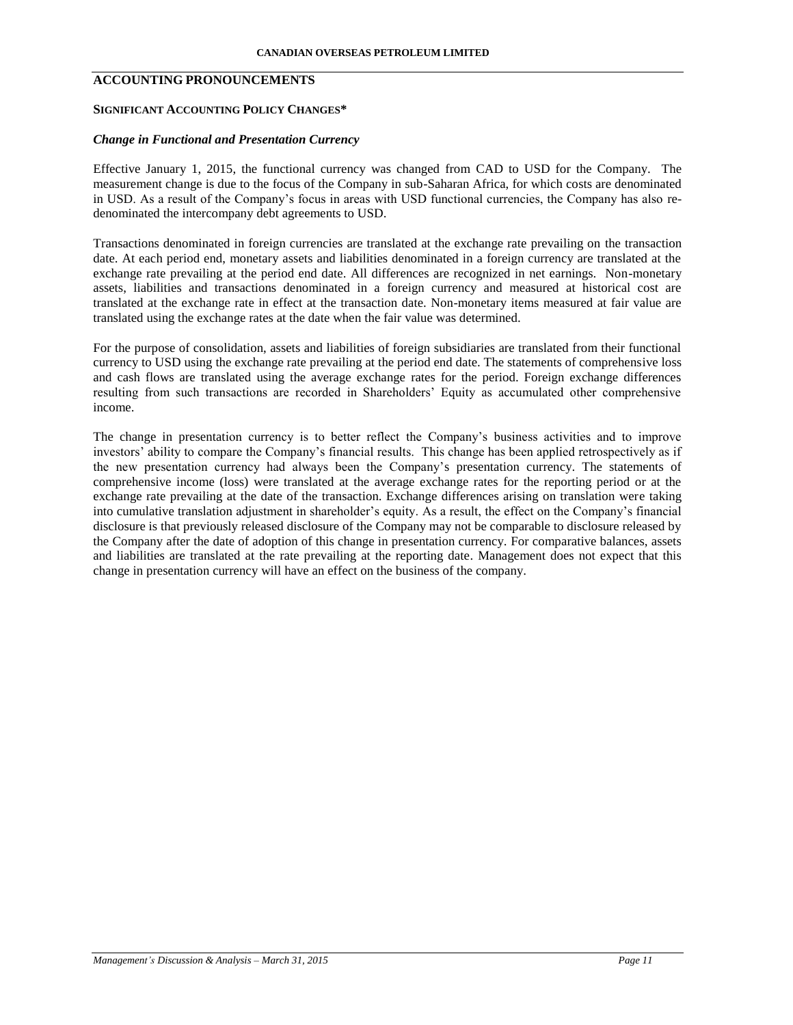# **ACCOUNTING PRONOUNCEMENTS**

## **SIGNIFICANT ACCOUNTING POLICY CHANGES\***

# *Change in Functional and Presentation Currency*

Effective January 1, 2015, the functional currency was changed from CAD to USD for the Company. The measurement change is due to the focus of the Company in sub-Saharan Africa, for which costs are denominated in USD. As a result of the Company's focus in areas with USD functional currencies, the Company has also redenominated the intercompany debt agreements to USD.

Transactions denominated in foreign currencies are translated at the exchange rate prevailing on the transaction date. At each period end, monetary assets and liabilities denominated in a foreign currency are translated at the exchange rate prevailing at the period end date. All differences are recognized in net earnings. Non-monetary assets, liabilities and transactions denominated in a foreign currency and measured at historical cost are translated at the exchange rate in effect at the transaction date. Non-monetary items measured at fair value are translated using the exchange rates at the date when the fair value was determined.

For the purpose of consolidation, assets and liabilities of foreign subsidiaries are translated from their functional currency to USD using the exchange rate prevailing at the period end date. The statements of comprehensive loss and cash flows are translated using the average exchange rates for the period. Foreign exchange differences resulting from such transactions are recorded in Shareholders' Equity as accumulated other comprehensive income.

The change in presentation currency is to better reflect the Company's business activities and to improve investors' ability to compare the Company's financial results. This change has been applied retrospectively as if the new presentation currency had always been the Company's presentation currency. The statements of comprehensive income (loss) were translated at the average exchange rates for the reporting period or at the exchange rate prevailing at the date of the transaction. Exchange differences arising on translation were taking into cumulative translation adjustment in shareholder's equity. As a result, the effect on the Company's financial disclosure is that previously released disclosure of the Company may not be comparable to disclosure released by the Company after the date of adoption of this change in presentation currency. For comparative balances, assets and liabilities are translated at the rate prevailing at the reporting date. Management does not expect that this change in presentation currency will have an effect on the business of the company.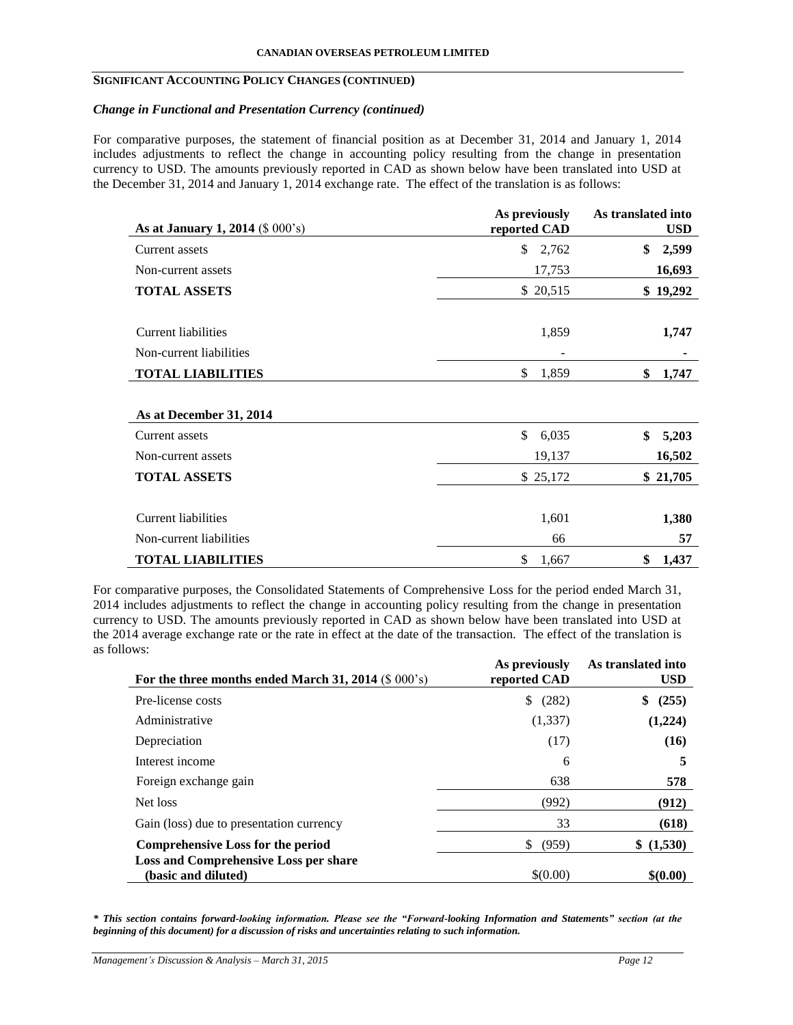## **SIGNIFICANT ACCOUNTING POLICY CHANGES (CONTINUED)**

# *Change in Functional and Presentation Currency (continued)*

For comparative purposes, the statement of financial position as at December 31, 2014 and January 1, 2014 includes adjustments to reflect the change in accounting policy resulting from the change in presentation currency to USD. The amounts previously reported in CAD as shown below have been translated into USD at the December 31, 2014 and January 1, 2014 exchange rate. The effect of the translation is as follows:

| As at January 1, 2014 (\$ 000's) | As previously<br>reported CAD | As translated into<br><b>USD</b> |
|----------------------------------|-------------------------------|----------------------------------|
| Current assets                   | \$<br>2,762                   | \$<br>2,599                      |
| Non-current assets               | 17,753                        | 16,693                           |
| <b>TOTAL ASSETS</b>              | \$20,515                      | \$19,292                         |
| Current liabilities              | 1,859                         | 1,747                            |
| Non-current liabilities          |                               |                                  |
| <b>TOTAL LIABILITIES</b>         | \$<br>1,859                   | \$<br>1,747                      |
| As at December 31, 2014          |                               |                                  |
| Current assets                   | \$<br>6,035                   | \$<br>5,203                      |
| Non-current assets               | 19,137                        | 16,502                           |
| <b>TOTAL ASSETS</b>              | \$25,172                      | \$21,705                         |
| Current liabilities              | 1,601                         | 1,380                            |
| Non-current liabilities          | 66                            | 57                               |
| <b>TOTAL LIABILITIES</b>         | \$<br>1,667                   | \$<br>1,437                      |

For comparative purposes, the Consolidated Statements of Comprehensive Loss for the period ended March 31, 2014 includes adjustments to reflect the change in accounting policy resulting from the change in presentation currency to USD. The amounts previously reported in CAD as shown below have been translated into USD at the 2014 average exchange rate or the rate in effect at the date of the transaction. The effect of the translation is as follows:

| For the three months ended March 31, 2014 $(S\ 000's)$              | As previously<br>reported CAD | As translated into<br><b>USD</b> |
|---------------------------------------------------------------------|-------------------------------|----------------------------------|
| Pre-license costs                                                   | (282)<br>\$                   | (255)<br>\$                      |
| Administrative                                                      | (1,337)                       | (1,224)                          |
| Depreciation                                                        | (17)                          | (16)                             |
| Interest income                                                     | 6                             | 5                                |
| Foreign exchange gain                                               | 638                           | 578                              |
| Net loss                                                            | (992)                         | (912)                            |
| Gain (loss) due to presentation currency                            | 33                            | (618)                            |
| Comprehensive Loss for the period                                   | (959)<br>\$.                  | (1,530)<br>S                     |
| <b>Loss and Comprehensive Loss per share</b><br>(basic and diluted) | \$(0.00)                      | \$(0.00)                         |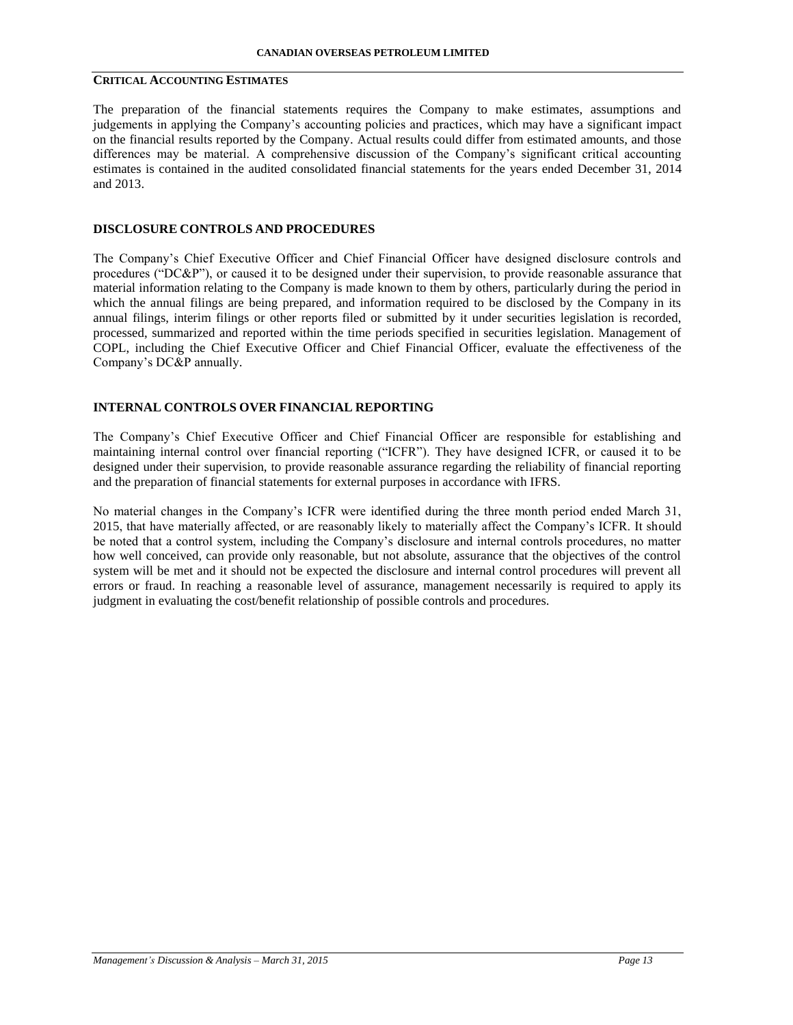# **CRITICAL ACCOUNTING ESTIMATES**

The preparation of the financial statements requires the Company to make estimates, assumptions and judgements in applying the Company's accounting policies and practices, which may have a significant impact on the financial results reported by the Company. Actual results could differ from estimated amounts, and those differences may be material. A comprehensive discussion of the Company's significant critical accounting estimates is contained in the audited consolidated financial statements for the years ended December 31, 2014 and 2013.

# **DISCLOSURE CONTROLS AND PROCEDURES**

The Company's Chief Executive Officer and Chief Financial Officer have designed disclosure controls and procedures ("DC&P"), or caused it to be designed under their supervision, to provide reasonable assurance that material information relating to the Company is made known to them by others, particularly during the period in which the annual filings are being prepared, and information required to be disclosed by the Company in its annual filings, interim filings or other reports filed or submitted by it under securities legislation is recorded, processed, summarized and reported within the time periods specified in securities legislation. Management of COPL, including the Chief Executive Officer and Chief Financial Officer, evaluate the effectiveness of the Company's DC&P annually.

# **INTERNAL CONTROLS OVER FINANCIAL REPORTING**

The Company's Chief Executive Officer and Chief Financial Officer are responsible for establishing and maintaining internal control over financial reporting ("ICFR"). They have designed ICFR, or caused it to be designed under their supervision, to provide reasonable assurance regarding the reliability of financial reporting and the preparation of financial statements for external purposes in accordance with IFRS.

No material changes in the Company's ICFR were identified during the three month period ended March 31, 2015, that have materially affected, or are reasonably likely to materially affect the Company's ICFR. It should be noted that a control system, including the Company's disclosure and internal controls procedures, no matter how well conceived, can provide only reasonable, but not absolute, assurance that the objectives of the control system will be met and it should not be expected the disclosure and internal control procedures will prevent all errors or fraud. In reaching a reasonable level of assurance, management necessarily is required to apply its judgment in evaluating the cost/benefit relationship of possible controls and procedures.